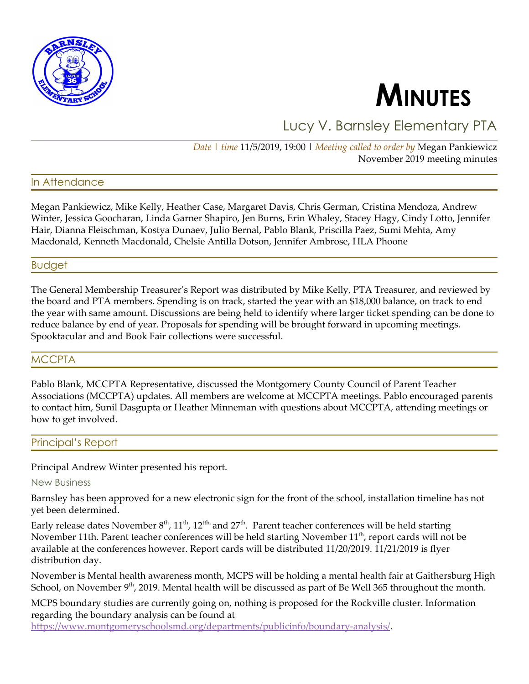



Lucy V. Barnsley Elementary PTA

*Date | time* 11/5/2019, 19:00 | *Meeting called to order by* Megan Pankiewicz November 2019 meeting minutes

## In Attendance

Megan Pankiewicz, Mike Kelly, Heather Case, Margaret Davis, Chris German, Cristina Mendoza, Andrew Winter, Jessica Goocharan, Linda Garner Shapiro, Jen Burns, Erin Whaley, Stacey Hagy, Cindy Lotto, Jennifer Hair, Dianna Fleischman, Kostya Dunaev, Julio Bernal, Pablo Blank, Priscilla Paez, Sumi Mehta, Amy Macdonald, Kenneth Macdonald, Chelsie Antilla Dotson, Jennifer Ambrose, HLA Phoone

## Budget

The General Membership Treasurer's Report was distributed by Mike Kelly, PTA Treasurer, and reviewed by the board and PTA members. Spending is on track, started the year with an \$18,000 balance, on track to end the year with same amount. Discussions are being held to identify where larger ticket spending can be done to reduce balance by end of year. Proposals for spending will be brought forward in upcoming meetings. Spooktacular and and Book Fair collections were successful.

## **MCCPTA**

Pablo Blank, MCCPTA Representative, discussed the Montgomery County Council of Parent Teacher Associations (MCCPTA) updates. All members are welcome at MCCPTA meetings. Pablo encouraged parents to contact him, Sunil Dasgupta or Heather Minneman with questions about MCCPTA, attending meetings or how to get involved.

### Principal's Report

Principal Andrew Winter presented his report.

#### New Business

Barnsley has been approved for a new electronic sign for the front of the school, installation timeline has not yet been determined.

Early release dates November  $8^{\text{th}}$ , 11<sup>th</sup>, 12<sup>tth,</sup> and 27<sup>th</sup>. Parent teacher conferences will be held starting November 11th. Parent teacher conferences will be held starting November  $11^{\text{th}}$ , report cards will not be available at the conferences however. Report cards will be distributed 11/20/2019. 11/21/2019 is flyer distribution day.

November is Mental health awareness month, MCPS will be holding a mental health fair at Gaithersburg High School, on November 9<sup>th</sup>, 2019. Mental health will be discussed as part of Be Well 365 throughout the month.

MCPS boundary studies are currently going on, nothing is proposed for the Rockville cluster. Information regarding the boundary analysis can be found at

[https://www.montgomeryschoolsmd.org/departments/publicinfo/boundary-analysis/.](https://www.montgomeryschoolsmd.org/departments/publicinfo/boundary-analysis/)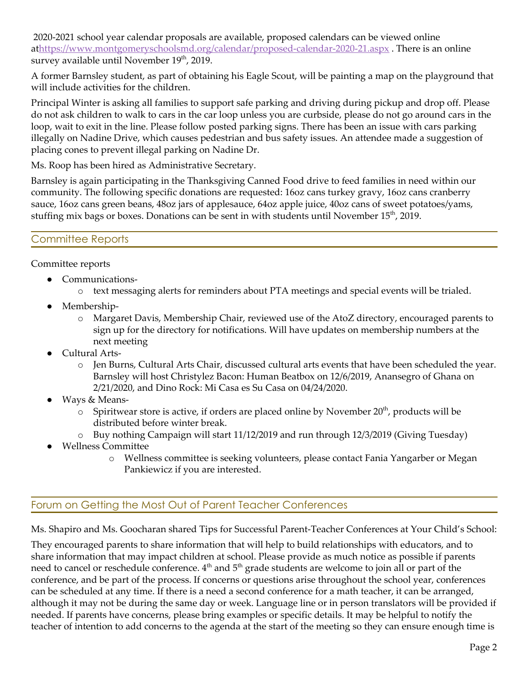2020-2021 school year calendar proposals are available, proposed calendars can be viewed online a[thttps://www.montgomeryschoolsmd.org/calendar/proposed-calendar-2020-21.aspx](https://www.montgomeryschoolsmd.org/calendar/proposed-calendar-2020-21.aspx) . There is an online survey available until November 19<sup>th</sup>, 2019.

A former Barnsley student, as part of obtaining his Eagle Scout, will be painting a map on the playground that will include activities for the children.

Principal Winter is asking all families to support safe parking and driving during pickup and drop off. Please do not ask children to walk to cars in the car loop unless you are curbside, please do not go around cars in the loop, wait to exit in the line. Please follow posted parking signs. There has been an issue with cars parking illegally on Nadine Drive, which causes pedestrian and bus safety issues. An attendee made a suggestion of placing cones to prevent illegal parking on Nadine Dr.

Ms. Roop has been hired as Administrative Secretary.

Barnsley is again participating in the Thanksgiving Canned Food drive to feed families in need within our community. The following specific donations are requested: 16oz cans turkey gravy, 16oz cans cranberry sauce, 16oz cans green beans, 48oz jars of applesauce, 64oz apple juice, 40oz cans of sweet potatoes/yams, stuffing mix bags or boxes. Donations can be sent in with students until November  $15^{\text{th}}$ , 2019.

# Committee Reports

Committee reports

- Communications
	- o text messaging alerts for reminders about PTA meetings and special events will be trialed.
- Membership
	- o Margaret Davis, Membership Chair, reviewed use of the AtoZ directory, encouraged parents to sign up for the directory for notifications. Will have updates on membership numbers at the next meeting
- Cultural Arts
	- o Jen Burns, Cultural Arts Chair, discussed cultural arts events that have been scheduled the year. Barnsley will host Christylez Bacon: Human Beatbox on 12/6/2019, Anansegro of Ghana on 2/21/2020, and Dino Rock: Mi Casa es Su Casa on 04/24/2020.
- Ways & Means-
	- $\circ$  Spiritwear store is active, if orders are placed online by November 20<sup>th</sup>, products will be distributed before winter break.
	- o Buy nothing Campaign will start 11/12/2019 and run through 12/3/2019 (Giving Tuesday)
- Wellness Committee
	- o Wellness committee is seeking volunteers, please contact Fania Yangarber or Megan Pankiewicz if you are interested.

# Forum on Getting the Most Out of Parent Teacher Conferences

Ms. Shapiro and Ms. Goocharan shared Tips for Successful Parent-Teacher Conferences at Your Child's School:

They encouraged parents to share information that will help to build relationships with educators, and to share information that may impact children at school. Please provide as much notice as possible if parents need to cancel or reschedule conference.  $4^{\text{th}}$  and  $5^{\text{th}}$  grade students are welcome to join all or part of the conference, and be part of the process. If concerns or questions arise throughout the school year, conferences can be scheduled at any time. If there is a need a second conference for a math teacher, it can be arranged, although it may not be during the same day or week. Language line or in person translators will be provided if needed. If parents have concerns, please bring examples or specific details. It may be helpful to notify the teacher of intention to add concerns to the agenda at the start of the meeting so they can ensure enough time is